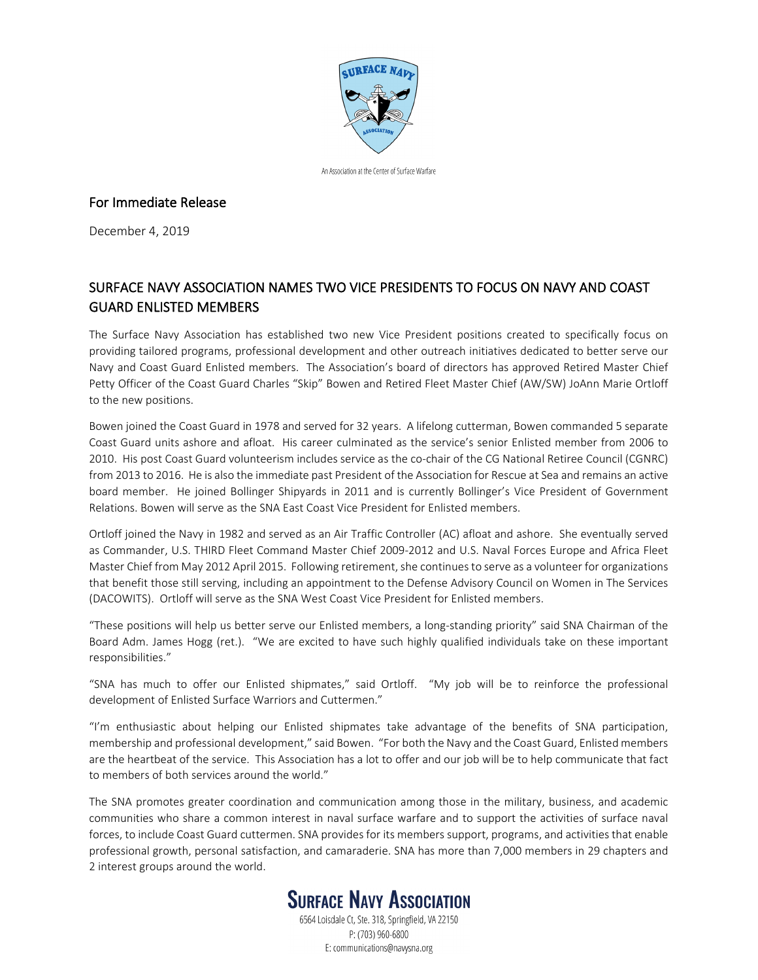

An Association at the Center of Surface Warfare

## For Immediate Release

December 4, 2019

## SURFACE NAVY ASSOCIATION NAMES TWO VICE PRESIDENTS TO FOCUS ON NAVY AND COAST GUARD ENLISTED MEMBERS

The Surface Navy Association has established two new Vice President positions created to specifically focus on providing tailored programs, professional development and other outreach initiatives dedicated to better serve our Navy and Coast Guard Enlisted members. The Association's board of directors has approved Retired Master Chief Petty Officer of the Coast Guard Charles "Skip" Bowen and Retired Fleet Master Chief (AW/SW) JoAnn Marie Ortloff to the new positions.

Bowen joined the Coast Guard in 1978 and served for 32 years. A lifelong cutterman, Bowen commanded 5 separate Coast Guard units ashore and afloat. His career culminated as the service's senior Enlisted member from 2006 to 2010. His post Coast Guard volunteerism includes service as the co-chair of the CG National Retiree Council (CGNRC) from 2013 to 2016. He is also the immediate past President of the Association for Rescue at Sea and remains an active board member. He joined Bollinger Shipyards in 2011 and is currently Bollinger's Vice President of Government Relations. Bowen will serve as the SNA East Coast Vice President for Enlisted members.

Ortloff joined the Navy in 1982 and served as an Air Traffic Controller (AC) afloat and ashore. She eventually served as Commander, U.S. THIRD Fleet Command Master Chief 2009-2012 and U.S. Naval Forces Europe and Africa Fleet Master Chief from May 2012 April 2015. Following retirement, she continues to serve as a volunteer for organizations that benefit those still serving, including an appointment to the Defense Advisory Council on Women in The Services (DACOWITS). Ortloff will serve as the SNA West Coast Vice President for Enlisted members.

"These positions will help us better serve our Enlisted members, a long-standing priority" said SNA Chairman of the Board Adm. James Hogg (ret.). "We are excited to have such highly qualified individuals take on these important responsibilities."

"SNA has much to offer our Enlisted shipmates," said Ortloff. "My job will be to reinforce the professional development of Enlisted Surface Warriors and Cuttermen."

"I'm enthusiastic about helping our Enlisted shipmates take advantage of the benefits of SNA participation, membership and professional development," said Bowen. "For both the Navy and the Coast Guard, Enlisted members are the heartbeat of the service. This Association has a lot to offer and our job will be to help communicate that fact to members of both services around the world."

The SNA promotes greater coordination and communication among those in the military, business, and academic communities who share a common interest in naval surface warfare and to support the activities of surface naval forces, to include Coast Guard cuttermen. SNA provides for its members support, programs, and activities that enable professional growth, personal satisfaction, and camaraderie. SNA has more than 7,000 members in 29 chapters and 2 interest groups around the world.